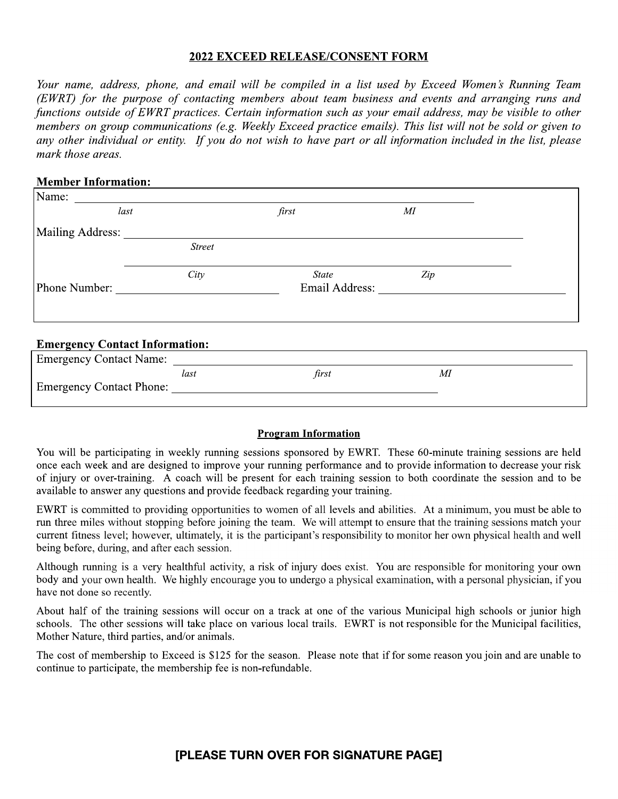# **2022 EXCEED RELEASE/CONSENT FORM**

Your name, address, phone, and email will be compiled in a list used by Exceed Women's Running Team (EWRT) for the purpose of contacting members about team business and events and arranging runs and functions outside of EWRT practices. Certain information such as your email address, may be visible to other nembers on group communications (e.g. Weekly Exceed practice emails). This list will not be sold or given to any other individual or entity. If you do not wish to have part or all information included in the list, please mark those areas.

### **Member Information:**

| Name:                                 |               |                       |              |  |
|---------------------------------------|---------------|-----------------------|--------------|--|
| last                                  |               | first                 | $\cal{M\!I}$ |  |
| Mailing Address:                      |               |                       |              |  |
|                                       | <b>Street</b> |                       |              |  |
|                                       | City          | <i>State</i>          | Zip          |  |
| Phone Number:                         |               | <b>Email Address:</b> |              |  |
|                                       |               |                       |              |  |
|                                       |               |                       |              |  |
| <b>Emergency Contact Information:</b> |               |                       |              |  |
| <b>Emergency Contact Name:</b>        |               |                       |              |  |

|                          | last | first | Μl |
|--------------------------|------|-------|----|
| Emergency Contact Phone: |      |       |    |
|                          |      |       |    |

#### **Program Information**

You will be participating in weekly running sessions sponsored by EWRT. These 60-minute training sessions are held once each week and are designed to improve your running performance and to provide information to decrease your risk of injury or over-training. A coach will be present for each training session to both coordinate the session and to be available to answer any questions and provide feedback regarding your training.

EWRT is committed to providing opportunities to women of all levels and abilities. At a minimum, you must be able to run three miles without stopping before joining the team. We will attempt to ensure that the training sessions match your current fitness level; however, ultimately, it is the participant's responsibility to monitor her own physical health and well being before, during, and after each session.

Although running is a very healthful activity, a risk of injury does exist. You are responsible for monitoring your own body and your own health. We highly encourage you to undergo a physical examination, with a personal physician, if you have not done so recently.

About half of the training sessions will occur on a track at one of the various Municipal high schools or junior high schools. The other sessions will take place on various local trails. EWRT is not responsible for the Municipal facilities, Mother Nature, third parties, and/or animals.

The cost of membership to Exceed is \$125 for the season. Please note that if for some reason you join and are unable to continue to participate, the membership fee is non-refundable.